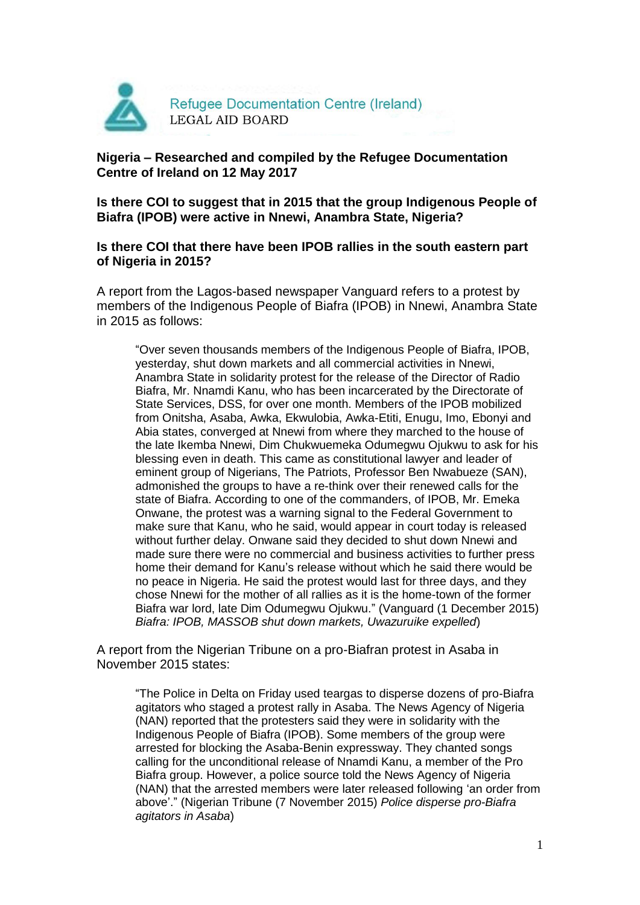

## **Nigeria – Researched and compiled by the Refugee Documentation Centre of Ireland on 12 May 2017**

**Is there COI to suggest that in 2015 that the group Indigenous People of Biafra (IPOB) were active in Nnewi, Anambra State, Nigeria?**

**Is there COI that there have been IPOB rallies in the south eastern part of Nigeria in 2015?**

A report from the Lagos-based newspaper Vanguard refers to a protest by members of the Indigenous People of Biafra (IPOB) in Nnewi, Anambra State in 2015 as follows:

"Over seven thousands members of the Indigenous People of Biafra, IPOB, yesterday, shut down markets and all commercial activities in Nnewi, Anambra State in solidarity protest for the release of the Director of Radio Biafra, Mr. Nnamdi Kanu, who has been incarcerated by the Directorate of State Services, DSS, for over one month. Members of the IPOB mobilized from Onitsha, Asaba, Awka, Ekwulobia, Awka-Etiti, Enugu, Imo, Ebonyi and Abia states, converged at Nnewi from where they marched to the house of the late Ikemba Nnewi, Dim Chukwuemeka Odumegwu Ojukwu to ask for his blessing even in death. This came as constitutional lawyer and leader of eminent group of Nigerians, The Patriots, Professor Ben Nwabueze (SAN), admonished the groups to have a re-think over their renewed calls for the state of Biafra. According to one of the commanders, of IPOB, Mr. Emeka Onwane, the protest was a warning signal to the Federal Government to make sure that Kanu, who he said, would appear in court today is released without further delay. Onwane said they decided to shut down Nnewi and made sure there were no commercial and business activities to further press home their demand for Kanu's release without which he said there would be no peace in Nigeria. He said the protest would last for three days, and they chose Nnewi for the mother of all rallies as it is the home-town of the former Biafra war lord, late Dim Odumegwu Ojukwu." (Vanguard (1 December 2015) *Biafra: IPOB, MASSOB shut down markets, Uwazuruike expelled*)

A report from the Nigerian Tribune on a pro-Biafran protest in Asaba in November 2015 states:

"The Police in Delta on Friday used teargas to disperse dozens of pro-Biafra agitators who staged a protest rally in Asaba. The News Agency of Nigeria (NAN) reported that the protesters said they were in solidarity with the Indigenous People of Biafra (IPOB). Some members of the group were arrested for blocking the Asaba-Benin expressway. They chanted songs calling for the unconditional release of Nnamdi Kanu, a member of the Pro Biafra group. However, a police source told the News Agency of Nigeria (NAN) that the arrested members were later released following 'an order from above'." (Nigerian Tribune (7 November 2015) *Police disperse pro-Biafra agitators in Asaba*)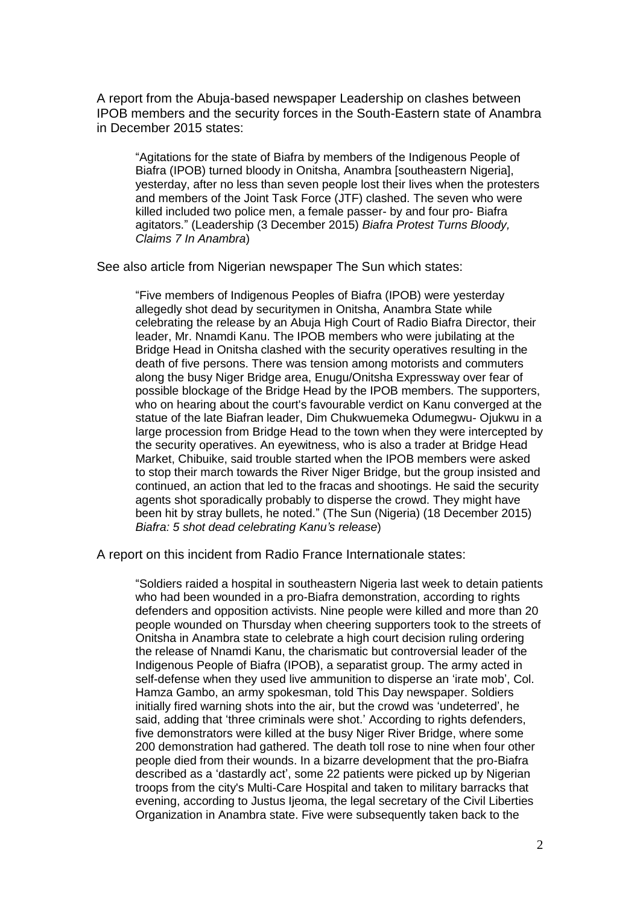A report from the Abuja-based newspaper Leadership on clashes between IPOB members and the security forces in the South-Eastern state of Anambra in December 2015 states:

"Agitations for the state of Biafra by members of the Indigenous People of Biafra (IPOB) turned bloody in Onitsha, Anambra [southeastern Nigeria], yesterday, after no less than seven people lost their lives when the protesters and members of the Joint Task Force (JTF) clashed. The seven who were killed included two police men, a female passer- by and four pro- Biafra agitators." (Leadership (3 December 2015) *Biafra Protest Turns Bloody, Claims 7 In Anambra*)

See also article from Nigerian newspaper The Sun which states:

"Five members of Indigenous Peoples of Biafra (IPOB) were yesterday allegedly shot dead by securitymen in Onitsha, Anambra State while celebrating the release by an Abuja High Court of Radio Biafra Director, their leader, Mr. Nnamdi Kanu. The IPOB members who were jubilating at the Bridge Head in Onitsha clashed with the security operatives resulting in the death of five persons. There was tension among motorists and commuters along the busy Niger Bridge area, Enugu/Onitsha Expressway over fear of possible blockage of the Bridge Head by the IPOB members. The supporters, who on hearing about the court's favourable verdict on Kanu converged at the statue of the late Biafran leader, Dim Chukwuemeka Odumegwu- Ojukwu in a large procession from Bridge Head to the town when they were intercepted by the security operatives. An eyewitness, who is also a trader at Bridge Head Market, Chibuike, said trouble started when the IPOB members were asked to stop their march towards the River Niger Bridge, but the group insisted and continued, an action that led to the fracas and shootings. He said the security agents shot sporadically probably to disperse the crowd. They might have been hit by stray bullets, he noted." (The Sun (Nigeria) (18 December 2015) *Biafra: 5 shot dead celebrating Kanu's release*)

A report on this incident from Radio France Internationale states:

"Soldiers raided a hospital in southeastern Nigeria last week to detain patients who had been wounded in a pro-Biafra demonstration, according to rights defenders and opposition activists. Nine people were killed and more than 20 people wounded on Thursday when cheering supporters took to the streets of Onitsha in Anambra state to celebrate a high court decision ruling ordering the release of Nnamdi Kanu, the charismatic but controversial leader of the Indigenous People of Biafra (IPOB), a separatist group. The army acted in self-defense when they used live ammunition to disperse an 'irate mob', Col. Hamza Gambo, an army spokesman, told This Day newspaper. Soldiers initially fired warning shots into the air, but the crowd was 'undeterred', he said, adding that 'three criminals were shot.' According to rights defenders, five demonstrators were killed at the busy Niger River Bridge, where some 200 demonstration had gathered. The death toll rose to nine when four other people died from their wounds. In a bizarre development that the pro-Biafra described as a 'dastardly act', some 22 patients were picked up by Nigerian troops from the city's Multi-Care Hospital and taken to military barracks that evening, according to Justus Ijeoma, the legal secretary of the Civil Liberties Organization in Anambra state. Five were subsequently taken back to the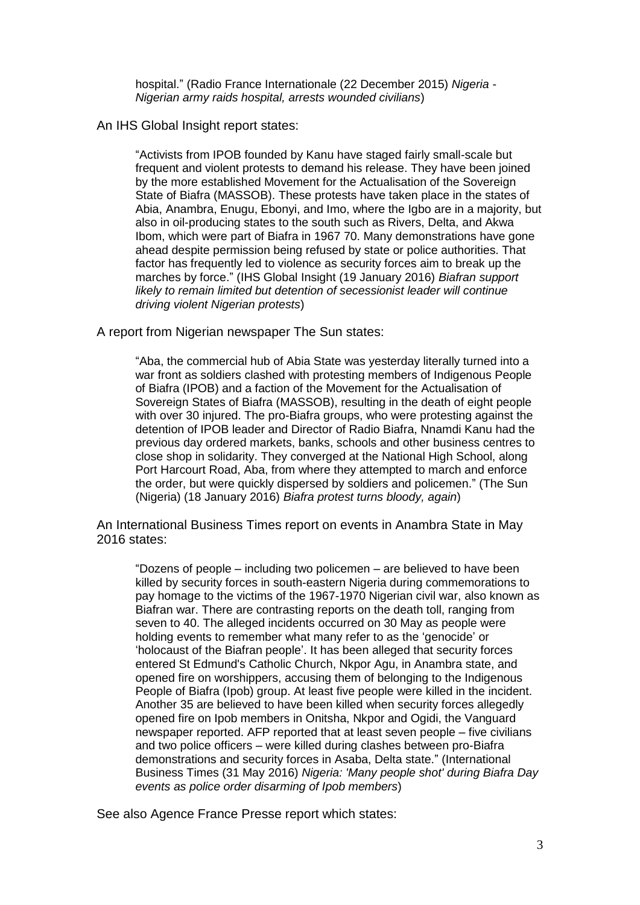hospital." (Radio France Internationale (22 December 2015) *Nigeria - Nigerian army raids hospital, arrests wounded civilians*)

## An IHS Global Insight report states:

"Activists from IPOB founded by Kanu have staged fairly small-scale but frequent and violent protests to demand his release. They have been joined by the more established Movement for the Actualisation of the Sovereign State of Biafra (MASSOB). These protests have taken place in the states of Abia, Anambra, Enugu, Ebonyi, and Imo, where the Igbo are in a majority, but also in oil-producing states to the south such as Rivers, Delta, and Akwa Ibom, which were part of Biafra in 1967 70. Many demonstrations have gone ahead despite permission being refused by state or police authorities. That factor has frequently led to violence as security forces aim to break up the marches by force." (IHS Global Insight (19 January 2016) *Biafran support likely to remain limited but detention of secessionist leader will continue driving violent Nigerian protests*)

A report from Nigerian newspaper The Sun states:

"Aba, the commercial hub of Abia State was yesterday literally turned into a war front as soldiers clashed with protesting members of Indigenous People of Biafra (IPOB) and a faction of the Movement for the Actualisation of Sovereign States of Biafra (MASSOB), resulting in the death of eight people with over 30 injured. The pro-Biafra groups, who were protesting against the detention of IPOB leader and Director of Radio Biafra, Nnamdi Kanu had the previous day ordered markets, banks, schools and other business centres to close shop in solidarity. They converged at the National High School, along Port Harcourt Road, Aba, from where they attempted to march and enforce the order, but were quickly dispersed by soldiers and policemen." (The Sun (Nigeria) (18 January 2016) *Biafra protest turns bloody, again*)

An International Business Times report on events in Anambra State in May 2016 states:

"Dozens of people – including two policemen – are believed to have been killed by security forces in south-eastern Nigeria during commemorations to pay homage to the victims of the 1967-1970 Nigerian civil war, also known as Biafran war. There are contrasting reports on the death toll, ranging from seven to 40. The alleged incidents occurred on 30 May as people were holding events to remember what many refer to as the 'genocide' or 'holocaust of the Biafran people'. It has been alleged that security forces entered St Edmund's Catholic Church, Nkpor Agu, in Anambra state, and opened fire on worshippers, accusing them of belonging to the Indigenous People of Biafra (Ipob) group. At least five people were killed in the incident. Another 35 are believed to have been killed when security forces allegedly opened fire on Ipob members in Onitsha, Nkpor and Ogidi, the Vanguard newspaper reported. AFP reported that at least seven people – five civilians and two police officers – were killed during clashes between pro-Biafra demonstrations and security forces in Asaba, Delta state." (International Business Times (31 May 2016) *Nigeria: 'Many people shot' during Biafra Day events as police order disarming of Ipob members*)

See also Agence France Presse report which states: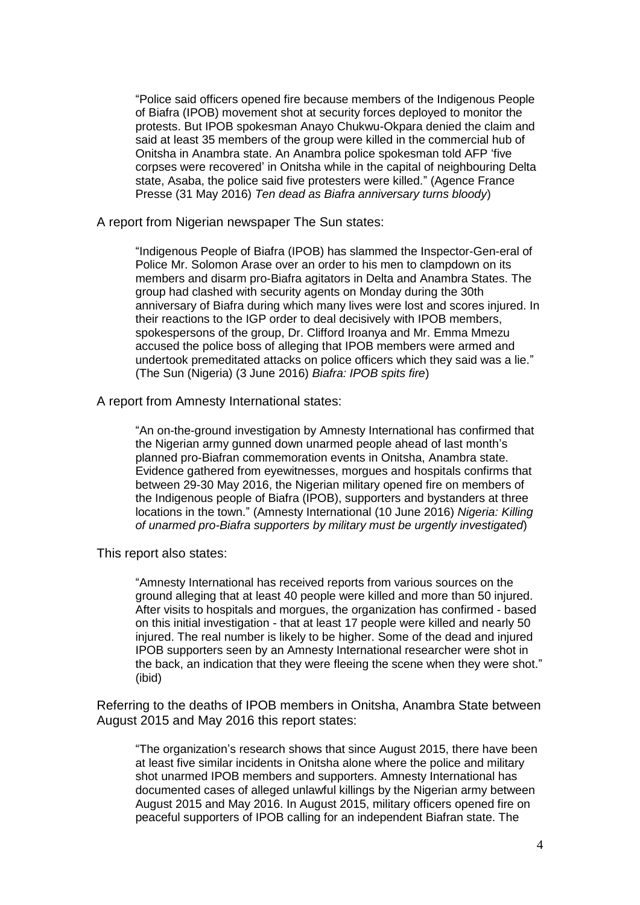"Police said officers opened fire because members of the Indigenous People of Biafra (IPOB) movement shot at security forces deployed to monitor the protests. But IPOB spokesman Anayo Chukwu-Okpara denied the claim and said at least 35 members of the group were killed in the commercial hub of Onitsha in Anambra state. An Anambra police spokesman told AFP 'five corpses were recovered' in Onitsha while in the capital of neighbouring Delta state, Asaba, the police said five protesters were killed." (Agence France Presse (31 May 2016) *Ten dead as Biafra anniversary turns bloody*)

A report from Nigerian newspaper The Sun states:

"Indigenous People of Biafra (IPOB) has slammed the Inspector-Gen-eral of Police Mr. Solomon Arase over an order to his men to clampdown on its members and disarm pro-Biafra agitators in Delta and Anambra States. The group had clashed with security agents on Monday during the 30th anniversary of Biafra during which many lives were lost and scores injured. In their reactions to the IGP order to deal decisively with IPOB members, spokespersons of the group, Dr. Clifford Iroanya and Mr. Emma Mmezu accused the police boss of alleging that IPOB members were armed and undertook premeditated attacks on police officers which they said was a lie." (The Sun (Nigeria) (3 June 2016) *Biafra: IPOB spits fire*)

A report from Amnesty International states:

"An on-the-ground investigation by Amnesty International has confirmed that the Nigerian army gunned down unarmed people ahead of last month's planned pro-Biafran commemoration events in Onitsha, Anambra state. Evidence gathered from eyewitnesses, morgues and hospitals confirms that between 29-30 May 2016, the Nigerian military opened fire on members of the Indigenous people of Biafra (IPOB), supporters and bystanders at three locations in the town." (Amnesty International (10 June 2016) *Nigeria: Killing of unarmed pro-Biafra supporters by military must be urgently investigated*)

This report also states:

"Amnesty International has received reports from various sources on the ground alleging that at least 40 people were killed and more than 50 injured. After visits to hospitals and morgues, the organization has confirmed - based on this initial investigation - that at least 17 people were killed and nearly 50 injured. The real number is likely to be higher. Some of the dead and injured IPOB supporters seen by an Amnesty International researcher were shot in the back, an indication that they were fleeing the scene when they were shot." (ibid)

Referring to the deaths of IPOB members in Onitsha, Anambra State between August 2015 and May 2016 this report states:

"The organization's research shows that since August 2015, there have been at least five similar incidents in Onitsha alone where the police and military shot unarmed IPOB members and supporters. Amnesty International has documented cases of alleged unlawful killings by the Nigerian army between August 2015 and May 2016. In August 2015, military officers opened fire on peaceful supporters of IPOB calling for an independent Biafran state. The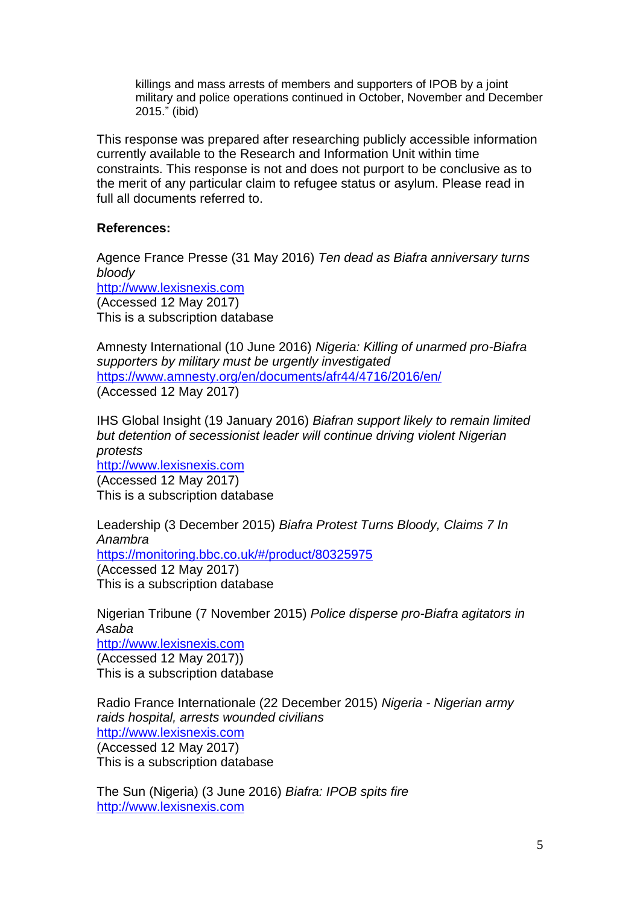killings and mass arrests of members and supporters of IPOB by a joint military and police operations continued in October, November and December 2015." (ibid)

This response was prepared after researching publicly accessible information currently available to the Research and Information Unit within time constraints. This response is not and does not purport to be conclusive as to the merit of any particular claim to refugee status or asylum. Please read in full all documents referred to.

## **References:**

Agence France Presse (31 May 2016) *Ten dead as Biafra anniversary turns bloody* [http://www.lexisnexis.com](http://www.lexisnexis.com/) (Accessed 12 May 2017) This is a subscription database

Amnesty International (10 June 2016) *Nigeria: Killing of unarmed pro-Biafra supporters by military must be urgently investigated* <https://www.amnesty.org/en/documents/afr44/4716/2016/en/> (Accessed 12 May 2017)

IHS Global Insight (19 January 2016) *Biafran support likely to remain limited but detention of secessionist leader will continue driving violent Nigerian protests* [http://www.lexisnexis.com](http://www.lexisnexis.com/) (Accessed 12 May 2017) This is a subscription database

Leadership (3 December 2015) *Biafra Protest Turns Bloody, Claims 7 In Anambra* [https://monitoring.bbc.co.uk/#/product/80325975](https://monitoring.bbc.co.uk/) (Accessed 12 May 2017) This is a subscription database

Nigerian Tribune (7 November 2015) *Police disperse pro-Biafra agitators in Asaba* [http://www.lexisnexis.com](http://www.lexisnexis.com/) (Accessed 12 May 2017)) This is a subscription database

Radio France Internationale (22 December 2015) *Nigeria - Nigerian army raids hospital, arrests wounded civilians* [http://www.lexisnexis.com](http://www.lexisnexis.com/) (Accessed 12 May 2017) This is a subscription database

The Sun (Nigeria) (3 June 2016) *Biafra: IPOB spits fire* [http://www.lexisnexis.com](http://www.lexisnexis.com/)